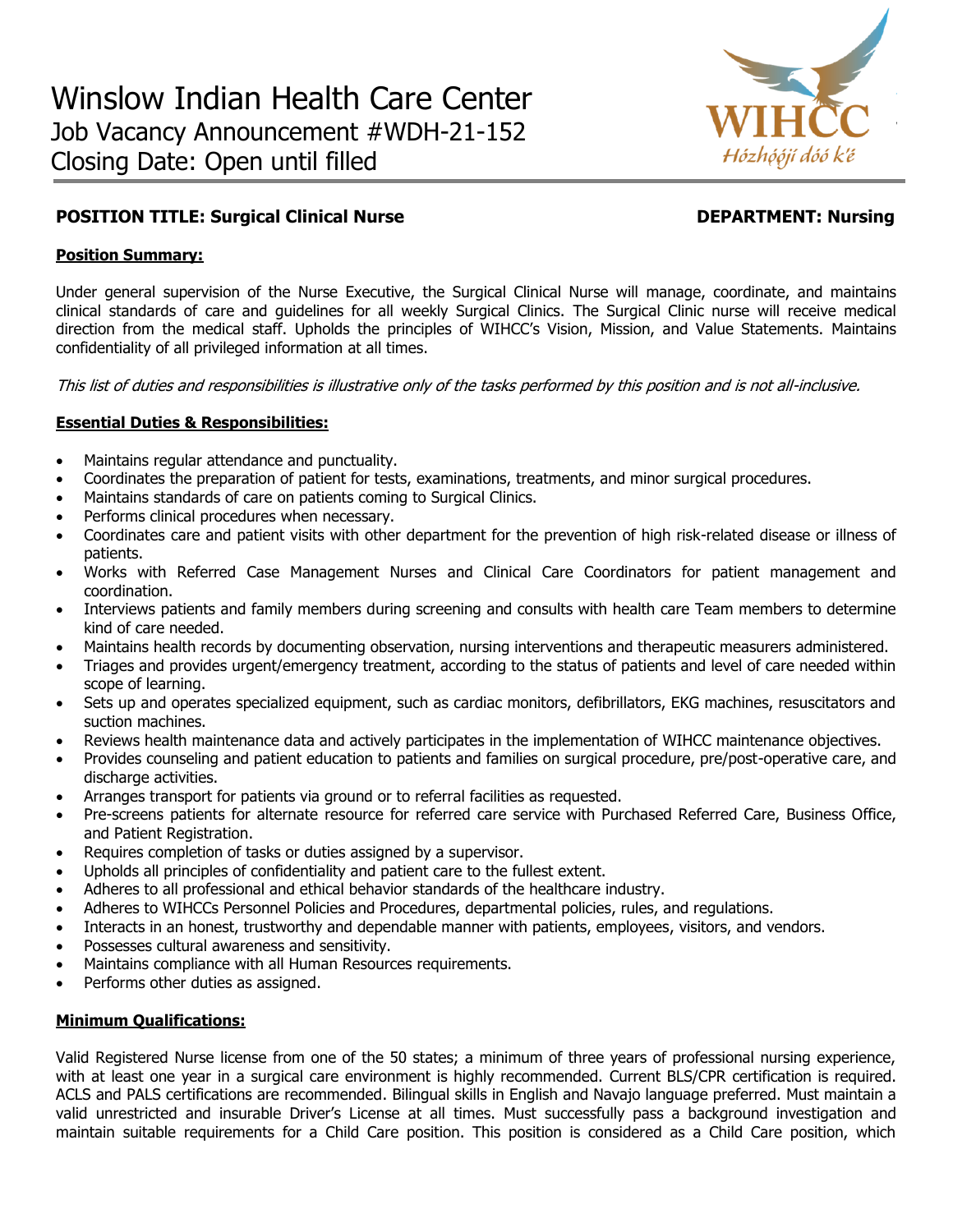

# **POSITION TITLE: Surgical Clinical Nurse DEPARTMENT: Nursing**

# **Position Summary:**

Under general supervision of the Nurse Executive, the Surgical Clinical Nurse will manage, coordinate, and maintains clinical standards of care and guidelines for all weekly Surgical Clinics. The Surgical Clinic nurse will receive medical direction from the medical staff. Upholds the principles of WIHCC's Vision, Mission, and Value Statements. Maintains confidentiality of all privileged information at all times.

This list of duties and responsibilities is illustrative only of the tasks performed by this position and is not all-inclusive.

## **Essential Duties & Responsibilities:**

- Maintains regular attendance and punctuality.
- Coordinates the preparation of patient for tests, examinations, treatments, and minor surgical procedures.
- Maintains standards of care on patients coming to Surgical Clinics.
- Performs clinical procedures when necessary.
- Coordinates care and patient visits with other department for the prevention of high risk-related disease or illness of patients.
- Works with Referred Case Management Nurses and Clinical Care Coordinators for patient management and coordination.
- Interviews patients and family members during screening and consults with health care Team members to determine kind of care needed.
- Maintains health records by documenting observation, nursing interventions and therapeutic measurers administered.
- Triages and provides urgent/emergency treatment, according to the status of patients and level of care needed within scope of learning.
- Sets up and operates specialized equipment, such as cardiac monitors, defibrillators, EKG machines, resuscitators and suction machines.
- Reviews health maintenance data and actively participates in the implementation of WIHCC maintenance objectives.
- Provides counseling and patient education to patients and families on surgical procedure, pre/post-operative care, and discharge activities.
- Arranges transport for patients via ground or to referral facilities as requested.
- Pre-screens patients for alternate resource for referred care service with Purchased Referred Care, Business Office, and Patient Registration.
- Requires completion of tasks or duties assigned by a supervisor.
- Upholds all principles of confidentiality and patient care to the fullest extent.
- Adheres to all professional and ethical behavior standards of the healthcare industry.
- Adheres to WIHCCs Personnel Policies and Procedures, departmental policies, rules, and regulations.
- Interacts in an honest, trustworthy and dependable manner with patients, employees, visitors, and vendors.
- Possesses cultural awareness and sensitivity.
- Maintains compliance with all Human Resources requirements.
- Performs other duties as assigned.

#### **Minimum Qualifications:**

Valid Registered Nurse license from one of the 50 states; a minimum of three years of professional nursing experience, with at least one year in a surgical care environment is highly recommended. Current BLS/CPR certification is required. ACLS and PALS certifications are recommended. Bilingual skills in English and Navajo language preferred. Must maintain a valid unrestricted and insurable Driver's License at all times. Must successfully pass a background investigation and maintain suitable requirements for a Child Care position. This position is considered as a Child Care position, which